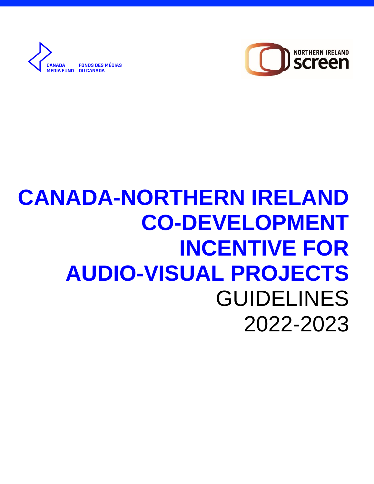

**FONDS DES MÉDIAS ANADA** *<u><b>IFDIA FIIND</u>* **DU CANADA** 

# **CANADA-NORTHERN IRELAND CO-DEVELOPMENT INCENTIVE FOR AUDIO-VISUAL PROJECTS** GUIDELINES 2022-2023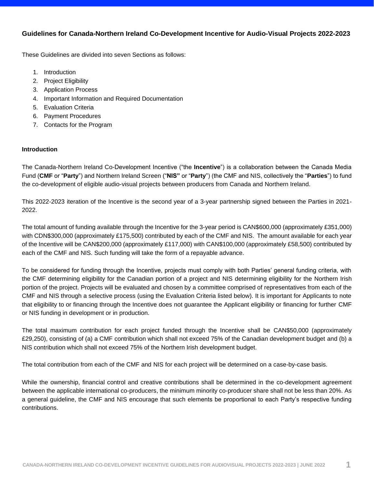## **Guidelines for Canada-Northern Ireland Co-Development Incentive for Audio-Visual Projects 2022-2023**

These Guidelines are divided into seven Sections as follows:

- 1. [Introduction](#page-1-0)
- 2. [Project Eligibility](#page-2-0)
- 3. [Application Process](#page-2-1)
- 4. [Important Information and Required Documentation](#page-3-0)
- 5. [Evaluation Criteria](#page-3-1)
- 6. [Payment Procedures](#page-4-0)
- 7. [Contacts for the Program](#page-4-1)

#### <span id="page-1-0"></span>**Introduction**

The Canada-Northern Ireland Co-Development Incentive ("the **Incentive**") is a collaboration between the Canada Media Fund (**CMF** or "**Party**") and Northern Ireland Screen ("**NIS"** or "**Party**") (the CMF and NIS, collectively the "**Parties**") to fund the co-development of eligible audio-visual projects between producers from Canada and Northern Ireland.

This 2022-2023 iteration of the Incentive is the second year of a 3-year partnership signed between the Parties in 2021- 2022.

The total amount of funding available through the Incentive for the 3-year period is CAN\$600,000 (approximately £351,000) with CDN\$300,000 (approximately £175,500) contributed by each of the CMF and NIS. The amount available for each year of the Incentive will be CAN\$200,000 (approximately £117,000) with CAN\$100,000 (approximately £58,500) contributed by each of the CMF and NIS. Such funding will take the form of a repayable advance.

To be considered for funding through the Incentive, projects must comply with both Parties' general funding criteria, with the CMF determining eligibility for the Canadian portion of a project and NIS determining eligibility for the Northern Irish portion of the project. Projects will be evaluated and chosen by a committee comprised of representatives from each of the CMF and NIS through a selective process (using the Evaluation Criteria listed below). It is important for Applicants to note that eligibility to or financing through the Incentive does not guarantee the Applicant eligibility or financing for further CMF or NIS funding in development or in production.

The total maximum contribution for each project funded through the Incentive shall be CAN\$50,000 (approximately £29,250), consisting of (a) a CMF contribution which shall not exceed 75% of the Canadian development budget and (b) a NIS contribution which shall not exceed 75% of the Northern Irish development budget.

The total contribution from each of the CMF and NIS for each project will be determined on a case-by-case basis.

While the ownership, financial control and creative contributions shall be determined in the co-development agreement between the applicable international co-producers, the minimum minority co-producer share shall not be less than 20%. As a general guideline, the CMF and NIS encourage that such elements be proportional to each Party's respective funding contributions.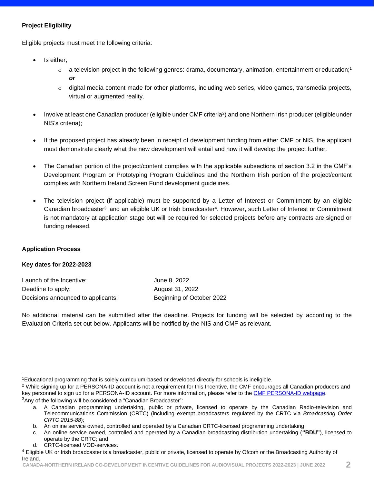## <span id="page-2-0"></span>**Project Eligibility**

Eligible projects must meet the following criteria:

- Is either,
	- $\circ$  a television project in the following genres: drama, documentary, animation, entertainment or education;<sup>1</sup> *or*
	- o digital media content made for other platforms, including web series, video games, transmedia projects, virtual or augmented reality.
- Involve at least one Canadian producer (eligible under CMF criteria<sup>2</sup>) and one Northern Irish producer (eligible under NIS's criteria);
- If the proposed project has already been in receipt of development funding from either CMF or NIS, the applicant must demonstrate clearly what the new development will entail and how it will develop the project further.
- The Canadian portion of the project/content complies with the applicable subsections of section 3.2 in the CMF's Development Program or Prototyping Program Guidelines and the Northern Irish portion of the project/content complies with Northern Ireland Screen Fund development guidelines.
- The television project (if applicable) must be supported by a Letter of Interest or Commitment by an eligible Canadian broadcaster<sup>3</sup> and an eligible UK or Irish broadcaster<sup>4</sup>. However, such Letter of Interest or Commitment is not mandatory at application stage but will be required for selected projects before any contracts are signed or funding released.

#### <span id="page-2-1"></span>**Application Process**

#### **Key dates for 2022-2023**

| Launch of the Incentive:           | June 8, 2022              |
|------------------------------------|---------------------------|
| Deadline to apply:                 | August 31, 2022           |
| Decisions announced to applicants: | Beginning of October 2022 |

No additional material can be submitted after the deadline. Projects for funding will be selected by according to the Evaluation Criteria set out below. Applicants will be notified by the NIS and CMF as relevant.

d. CRTC-licensed VOD-services.

<sup>1</sup>Educational programming that is solely curriculum-based or developed directly for schools is ineligible.

<sup>&</sup>lt;sup>2</sup> While signing up for a PERSONA-ID account is not a requirement for this Incentive, the CMF encourages all Canadian producers and key personnel to sign up for a PERSONA-ID account. For more information, please refer to the [CMF PERSONA-ID webpage.](https://cmf-fmc.ca/persona-id/)  $3$ Any of the following will be considered a "Canadian Broadcaster":

a. A Canadian programming undertaking, public or private, licensed to operate by the Canadian Radio-television and Telecommunications Commission (CRTC) (including exempt broadcasters regulated by the CRTC via *Broadcasting Order CRTC 2015-88*);

b. An online service owned, controlled and operated by a Canadian CRTC-licensed programming undertaking;

c. An online service owned, controlled and operated by a Canadian broadcasting distribution undertaking (**"BDU"**), licensed to operate by the CRTC; and

<sup>4</sup> Eligible UK or Irish broadcaster is a broadcaster, public or private, licensed to operate by Ofcom or the Broadcasting Authority of Ireland.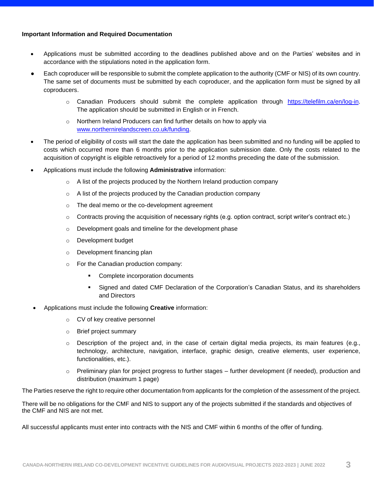#### <span id="page-3-0"></span>**Important Information and Required Documentation**

- Applications must be submitted according to the deadlines published above and on the Parties' websites and in accordance with the stipulations noted in the application form.
- Each coproducer will be responsible to submit the complete application to the authority (CMF or NIS) of its own country. The same set of documents must be submitted by each coproducer, and the application form must be signed by all coproducers.
	- o Canadian Producers should submit the complete application through [https://telefilm.ca/en/log-in.](https://telefilm.ca/en/log-in) The application should be submitted in English or in French.
	- o Northern Ireland Producers can find further details on how to apply via [www.northernirelandscreen.co.uk/funding.](https://www.northernirelandscreen.co.uk/funding/)
- The period of eligibility of costs will start the date the application has been submitted and no funding will be applied to costs which occurred more than 6 months prior to the application submission date. Only the costs related to the acquisition of copyright is eligible retroactively for a period of 12 months preceding the date of the submission.
- Applications must include the following **Administrative** information:
	- o A list of the projects produced by the Northern Ireland production company
	- $\circ$  A list of the projects produced by the Canadian production company
	- o The deal memo or the co-development agreement
	- o Contracts proving the acquisition of necessary rights (e.g. option contract, script writer's contract etc.)
	- o Development goals and timeline for the development phase
	- o Development budget
	- o Development financing plan
	- o For the Canadian production company:
		- Complete incorporation documents
		- Signed and dated CMF Declaration of the Corporation's Canadian Status, and its shareholders and Directors
- Applications must include the following **Creative** information:
	- o CV of key creative personnel
	- o Brief project summary
	- o Description of the project and, in the case of certain digital media projects, its main features (e.g., technology, architecture, navigation, interface, graphic design, creative elements, user experience, functionalities, etc.).
	- $\circ$  Preliminary plan for project progress to further stages further development (if needed), production and distribution (maximum 1 page)

The Parties reserve the right to require other documentation from applicants for the completion of the assessment of the project.

There will be no obligations for the CMF and NIS to support any of the projects submitted if the standards and objectives of the CMF and NIS are not met.

<span id="page-3-1"></span>All successful applicants must enter into contracts with the NIS and CMF within 6 months of the offer of funding.